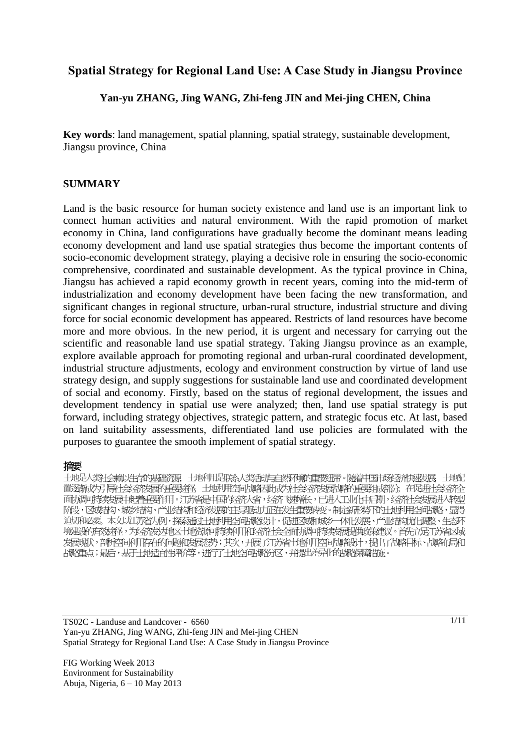# **Spatial Strategy for Regional Land Use: A Case Study in Jiangsu Province**

### **Yan-yu ZHANG, Jing WANG, Zhi-feng JIN and Mei-jing CHEN, China**

**Key words**: land management, spatial planning, spatial strategy, sustainable development, Jiangsu province, China

#### **SUMMARY**

Land is the basic resource for human society existence and land use is an important link to connect human activities and natural environment. With the rapid promotion of market economy in China, land configurations have gradually become the dominant means leading economy development and land use spatial strategies thus become the important contents of socio-economic development strategy, playing a decisive role in ensuring the socio-economic comprehensive, coordinated and sustainable development. As the typical province in China, Jiangsu has achieved a rapid economy growth in recent years, coming into the mid-term of industrialization and economy development have been facing the new transformation, and significant changes in regional structure, urban-rural structure, industrial structure and diving force for social economic development has appeared. Restricts of land resources have become more and more obvious. In the new period, it is urgent and necessary for carrying out the scientific and reasonable land use spatial strategy. Taking Jiangsu province as an example, explore available approach for promoting regional and urban-rural coordinated development, industrial structure adjustments, ecology and environment construction by virtue of land use strategy design, and supply suggestions for sustainable land use and coordinated development of social and economy. Firstly, based on the status of regional development, the issues and development tendency in spatial use were analyzed; then, land use spatial strategy is put forward, including strategy objectives, strategic pattern, and strategic focus etc. At last, based on land suitability assessments, differentiated land use policies are formulated with the purposes to guarantee the smooth implement of spatial strategy.

#### 摘要

土地是人类社会赖以生存的基础资源,土地利用是联系人类在对与自然环境的重要组带。随着中国市场经济快速发展,土地配 置逐航戏方局社会经济发展的经济生产组成协会经济发展协会重要组成的,在促进社会经济全球 面协即持续发展中起着重要作用。江苏省是中国的经济大省,经济飞速增长,已进入工业化中后期,经济社会发展进入转型 阶段,区域部、城乡结构、产业结场性经济发展的主导驱动正在发生重要转变。制定新发挥的土地利用空间地路,显得 迫切和必要。本文以江苏省为例,探索通过土地利用空间战略设计,促进区域和城乡一体化发展、产业结构优化调整、生态环 境建设的有效途径,为经济发达地区土地资源可持续利用和经济社会全面协调可持续发展提供政策建议。首先立足江苏省区域 发展现状,剖析空间利用存在的问题的发展态势;其次,开展了江苏省土地利用空间地路设计,提出了战略目标、战略布局和 战略重点;最后,基于土地适宜性评价等,进行了土地空间战略分区,并提出差异化的战略保障措施。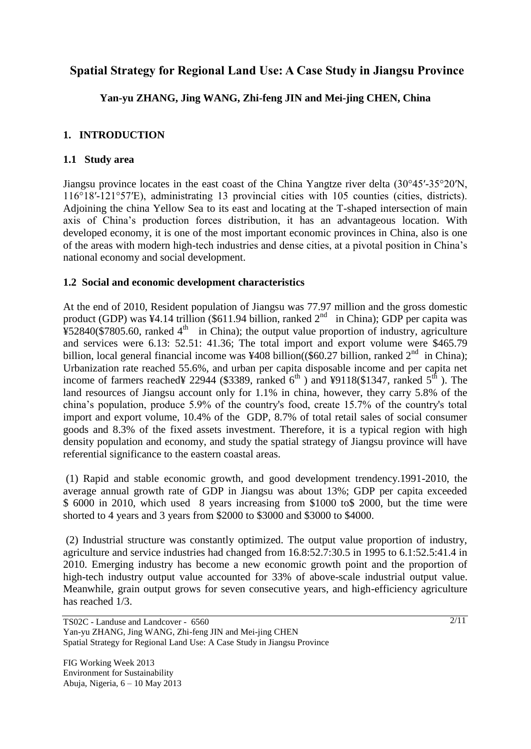# **Spatial Strategy for Regional Land Use: A Case Study in Jiangsu Province**

# **Yan-yu ZHANG, Jing WANG, Zhi-feng JIN and Mei-jing CHEN, China**

## **1. INTRODUCTION**

### **1.1 Study area**

Jiangsu province locates in the east coast of the China Yangtze river delta (30°45′-35°20′N, 116°18′-121°57′E), administrating 13 provincial cities with 105 counties (cities, districts). Adjoining the china Yellow Sea to its east and locating at the T-shaped intersection of main axis of China's production forces distribution, it has an advantageous location. With developed economy, it is one of the most important economic provinces in China, also is one of the areas with modern high-tech industries and dense cities, at a pivotal position in China's national economy and social development.

#### **1.2 Social and economic development characteristics**

At the end of 2010, Resident population of Jiangsu was 77.97 million and the gross domestic product (GDP) was ¥4.14 trillion (\$611.94 billion, ranked  $2<sup>nd</sup>$  in China); GDP per capita was  $\frac{1}{4}$ \$52840(\$7805.60, ranked 4<sup>th</sup> in China); the output value proportion of industry, agriculture and services were 6.13: 52.51: 41.36; The total import and export volume were \$465.79 billion, local general financial income was ¥408 billion((\$60.27 billion, ranked  $2^{nd}$  in China); Urbanization rate reached 55.6%, and urban per capita disposable income and per capita net income of farmers reached¥ 22944 (\$3389, ranked  $6<sup>th</sup>$ ) and ¥9118(\$1347, ranked  $5<sup>th</sup>$ ). The land resources of Jiangsu account only for 1.1% in china, however, they carry 5.8% of the china's population, produce 5.9% of the country's food, create 15.7% of the country's total import and export volume, 10.4% of the GDP, 8.7% of total retail sales of social consumer goods and 8.3% of the fixed assets investment. Therefore, it is a typical region with high density population and economy, and study the spatial strategy of Jiangsu province will have referential significance to the eastern coastal areas.

(1) Rapid and stable economic growth, and good development trendency.1991-2010, the average annual growth rate of GDP in Jiangsu was about 13%; GDP per capita exceeded \$ 6000 in 2010, which used 8 years increasing from \$1000 to\$ 2000, but the time were shorted to 4 years and 3 years from \$2000 to \$3000 and \$3000 to \$4000.

(2) Industrial structure was constantly optimized. The output value proportion of industry, agriculture and service industries had changed from 16.8:52.7:30.5 in 1995 to 6.1:52.5:41.4 in 2010. Emerging industry has become a new economic growth point and the proportion of high-tech industry output value accounted for 33% of above-scale industrial output value. Meanwhile, grain output grows for seven consecutive years, and high-efficiency agriculture has reached 1/3.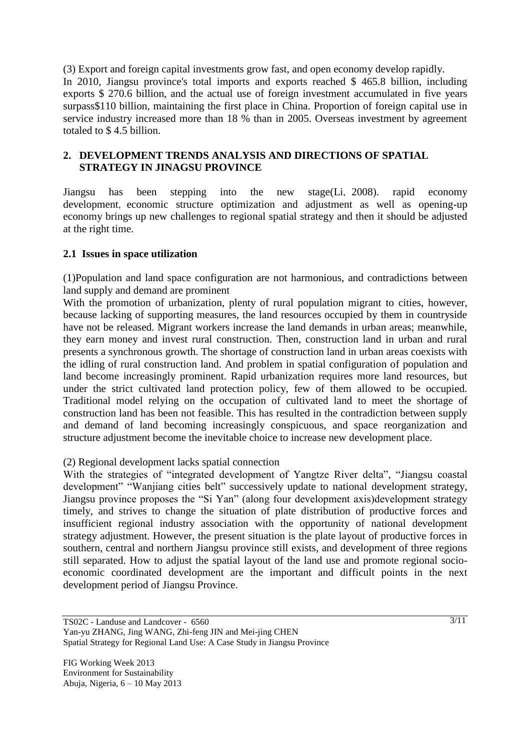(3) Export and foreign capital investments grow fast, and open economy develop rapidly. In 2010, Jiangsu province's total imports and exports reached \$ 465.8 billion, including exports \$ 270.6 billion, and the actual use of foreign investment accumulated in five years surpass\$110 billion, maintaining the first place in China. Proportion of foreign capital use in service industry increased more than 18 % than in 2005. Overseas investment by agreement totaled to \$ 4.5 billion.

## **2. DEVELOPMENT TRENDS ANALYSIS AND DIRECTIONS OF SPATIAL STRATEGY IN JINAGSU PROVINCE**

Jiangsu has been stepping into the new stage(Li,2008). rapid economy development, economic structure optimization and adjustment as well as opening-up economy brings up new challenges to regional spatial strategy and then it should be adjusted at the right time.

#### **2.1 Issues in space utilization**

(1)Population and land space configuration are not harmonious, and contradictions between land supply and demand are prominent

With the promotion of urbanization, plenty of rural population migrant to cities, however, because lacking of supporting measures, the land resources occupied by them in countryside have not be released. Migrant workers increase the land demands in urban areas; meanwhile, they earn money and invest rural construction. Then, construction land in urban and rural presents a synchronous growth. The shortage of construction land in urban areas coexists with the idling of rural construction land. And problem in spatial configuration of population and land become increasingly prominent. Rapid urbanization requires more land resources, but under the strict cultivated land protection policy, few of them allowed to be occupied. Traditional model relying on the occupation of cultivated land to meet the shortage of construction land has been not feasible. This has resulted in the contradiction between supply and demand of land becoming increasingly conspicuous, and space reorganization and structure adjustment become the inevitable choice to increase new development place.

#### (2) Regional development lacks spatial connection

With the strategies of "integrated development of Yangtze River delta", "Jiangsu coastal development" "Wanjiang cities belt" successively update to national development strategy, Jiangsu province proposes the "Si Yan" (along four development axis)development strategy timely, and strives to change the situation of plate distribution of productive forces and insufficient regional industry association with the opportunity of national development strategy adjustment. However, the present situation is the plate layout of productive forces in southern, central and northern Jiangsu province still exists, and development of three regions still separated. How to adjust the spatial layout of the land use and promote regional socioeconomic coordinated development are the important and difficult points in the next development period of Jiangsu Province.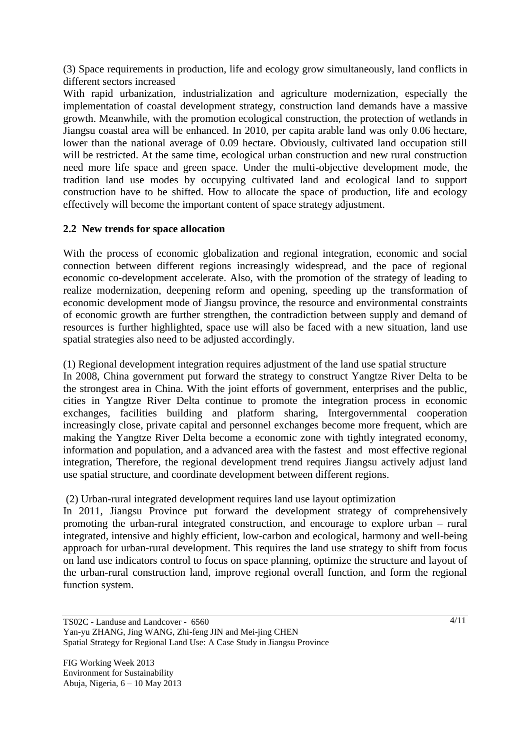(3) Space requirements in production, life and ecology grow simultaneously, land conflicts in different sectors increased

With rapid urbanization, industrialization and agriculture modernization, especially the implementation of coastal development strategy, construction land demands have a massive growth. Meanwhile, with the promotion ecological construction, the protection of wetlands in Jiangsu coastal area will be enhanced. In 2010, per capita arable land was only 0.06 hectare, lower than the national average of 0.09 hectare. Obviously, cultivated land occupation still will be restricted. At the same time, ecological urban construction and new rural construction need more life space and green space. Under the multi-objective development mode, the tradition land use modes by occupying cultivated land and ecological land to support construction have to be shifted. How to allocate the space of production, life and ecology effectively will become the important content of space strategy adjustment.

### **2.2 New trends for space allocation**

With the process of economic globalization and regional integration, economic and social connection between different regions increasingly widespread, and the pace of regional economic co-development accelerate. Also, with the promotion of the strategy of leading to realize modernization, deepening reform and opening, speeding up the transformation of economic development mode of Jiangsu province, the resource and environmental constraints of economic growth are further strengthen, the contradiction between supply and demand of resources is further highlighted, space use will also be faced with a new situation, land use spatial strategies also need to be adjusted accordingly.

(1) Regional development integration requires adjustment of the land use spatial structure In 2008, China government put forward the strategy to construct Yangtze River Delta to be the strongest area in China. With the joint efforts of government, enterprises and the public, cities in Yangtze River Delta continue to promote the integration process in economic exchanges, facilities building and platform sharing, Intergovernmental cooperation increasingly close, private capital and personnel exchanges become more frequent, which are making the Yangtze River Delta become a economic zone with tightly integrated economy, information and population, and a advanced area with the fastest and most effective regional integration, Therefore, the regional development trend requires Jiangsu actively adjust land use spatial structure, and coordinate development between different regions.

(2) Urban-rural integrated development requires land use layout optimization

In 2011, Jiangsu Province put forward the development strategy of comprehensively promoting the urban-rural integrated construction, and encourage to explore urban – rural integrated, intensive and highly efficient, low-carbon and ecological, harmony and well-being approach for urban-rural development. This requires the land use strategy to shift from focus on land use indicators control to focus on space planning, optimize the structure and layout of the urban-rural construction land, improve regional overall function, and form the regional function system.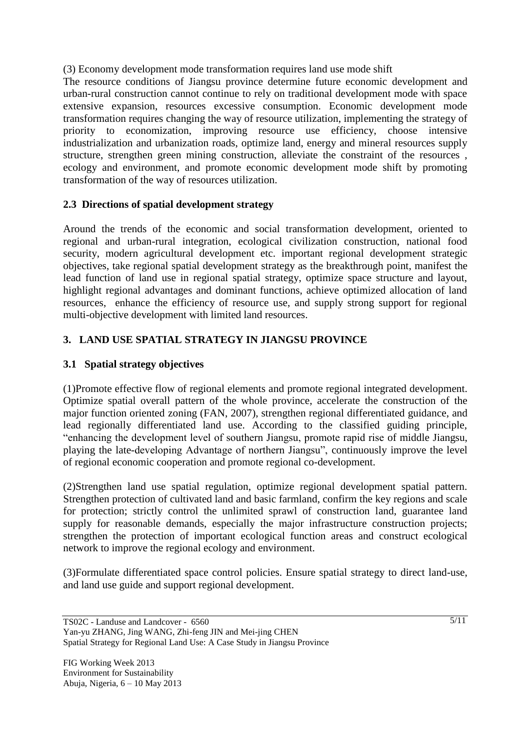(3) Economy development mode transformation requires land use mode shift

The resource conditions of Jiangsu province determine future economic development and urban-rural construction cannot continue to rely on traditional development mode with space extensive expansion, resources excessive consumption. Economic development mode transformation requires changing the way of resource utilization, implementing the strategy of priority to economization, improving resource use efficiency, choose intensive industrialization and urbanization roads, optimize land, energy and mineral resources supply structure, strengthen green mining construction, alleviate the constraint of the resources , ecology and environment, and promote economic development mode shift by promoting transformation of the way of resources utilization.

# **2.3 Directions of spatial development strategy**

Around the trends of the economic and social transformation development, oriented to regional and urban-rural integration, ecological civilization construction, national food security, modern agricultural development etc. important regional development strategic objectives, take regional spatial development strategy as the breakthrough point, manifest the lead function of land use in regional spatial strategy, optimize space structure and layout, highlight regional advantages and dominant functions, achieve optimized allocation of land resources, enhance the efficiency of resource use, and supply strong support for regional multi-objective development with limited land resources.

# **3. LAND USE SPATIAL STRATEGY IN JIANGSU PROVINCE**

# **3.1 Spatial strategy objectives**

(1)Promote effective flow of regional elements and promote regional integrated development. Optimize spatial overall pattern of the whole province, accelerate the construction of the major function oriented zoning (FAN, 2007), strengthen regional differentiated guidance, and lead regionally differentiated land use. According to the classified guiding principle, ―enhancing the development level of southern Jiangsu, promote rapid rise of middle Jiangsu, playing the late-developing Advantage of northern Jiangsu", continuously improve the level of regional economic cooperation and promote regional co-development.

(2)Strengthen land use spatial regulation, optimize regional development spatial pattern. Strengthen protection of cultivated land and basic farmland, confirm the key regions and scale for protection; strictly control the unlimited sprawl of construction land, guarantee land supply for reasonable demands, especially the major infrastructure construction projects; strengthen the protection of important ecological function areas and construct ecological network to improve the regional ecology and environment.

(3)Formulate differentiated space control policies. Ensure spatial strategy to direct land-use, and land use guide and support regional development.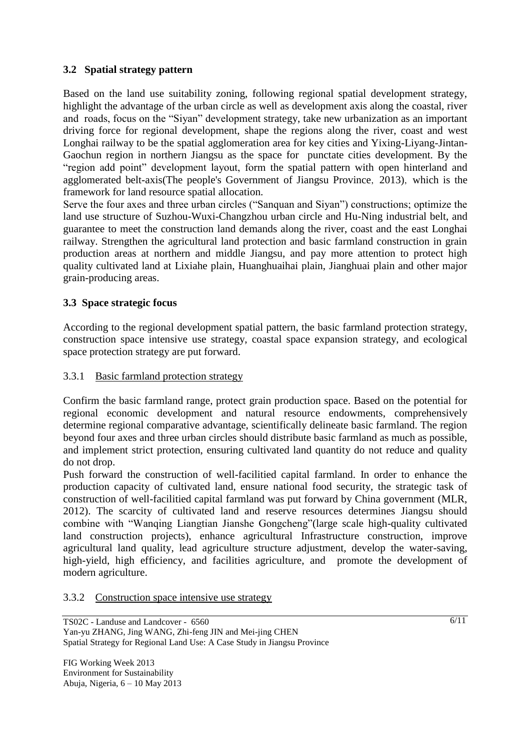# **3.2 Spatial strategy pattern**

Based on the land use suitability zoning, following regional spatial development strategy, highlight the advantage of the urban circle as well as development axis along the coastal, river and roads, focus on the "Siyan" development strategy, take new urbanization as an important driving force for regional development, shape the regions along the river, coast and west Longhai railway to be the spatial agglomeration area for key cities and Yixing-Liyang-Jintan-Gaochun region in northern Jiangsu as the space for punctate cities development. By the "region add point" development layout, form the spatial pattern with open hinterland and agglomerated belt-axis(The people's Government of Jiangsu Province, 2013), which is the framework for land resource spatial allocation.

Serve the four axes and three urban circles ("Sanquan and Siyan") constructions; optimize the land use structure of Suzhou-Wuxi-Changzhou urban circle and Hu-Ning industrial belt, and guarantee to meet the construction land demands along the river, coast and the east Longhai railway. Strengthen the agricultural land protection and basic farmland construction in grain production areas at northern and middle Jiangsu, and pay more attention to protect high quality cultivated land at Lixiahe plain, Huanghuaihai plain, Jianghuai plain and other major grain-producing areas.

# **3.3 Space strategic focus**

According to the regional development spatial pattern, the basic farmland protection strategy, construction space intensive use strategy, coastal space expansion strategy, and ecological space protection strategy are put forward.

### 3.3.1 Basic farmland protection strategy

Confirm the basic farmland range, protect grain production space. Based on the potential for regional economic development and natural resource endowments, comprehensively determine regional comparative advantage, scientifically delineate basic farmland. The region beyond four axes and three urban circles should distribute basic farmland as much as possible, and implement strict protection, ensuring cultivated land quantity do not reduce and quality do not drop.

Push forward the construction of well-facilitied capital farmland. In order to enhance the production capacity of cultivated land, ensure national food security, the strategic task of construction of well-facilitied capital farmland was put forward by China government (MLR, 2012). The scarcity of cultivated land and reserve resources determines Jiangsu should combine with "Wanqing Liangtian Jianshe Gongcheng" (large scale high-quality cultivated land construction projects), enhance agricultural Infrastructure construction, improve agricultural land quality, lead agriculture structure adjustment, develop the water-saving, high-yield, high efficiency, and facilities agriculture, and promote the development of modern agriculture.

#### 3.3.2 Construction space intensive use strategy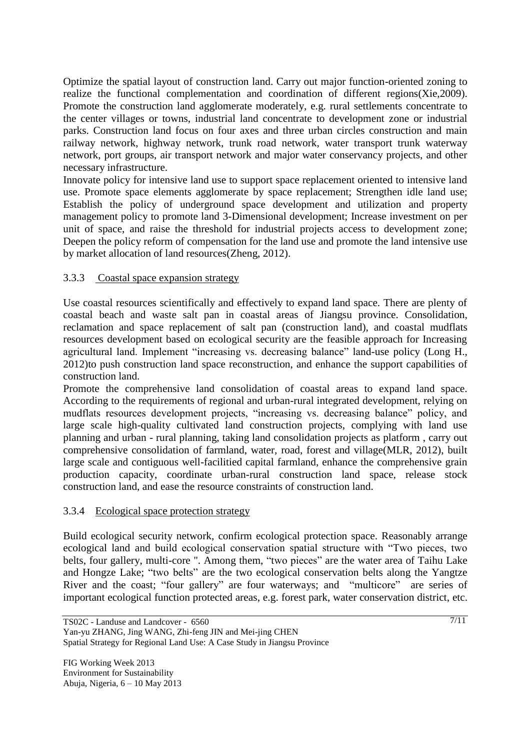Optimize the spatial layout of construction land. Carry out major function-oriented zoning to realize the functional complementation and coordination of different regions(Xie,2009). Promote the construction land agglomerate moderately, e.g. rural settlements concentrate to the center villages or towns, industrial land concentrate to development zone or industrial parks. Construction land focus on four axes and three urban circles construction and main railway network, highway network, trunk road network, water transport trunk waterway network, port groups, air transport network and major water conservancy projects, and other necessary infrastructure.

Innovate policy for intensive land use to support space replacement oriented to intensive land use. Promote space elements agglomerate by space replacement; Strengthen idle land use; Establish the policy of underground space development and utilization and property management policy to promote land 3-Dimensional development; Increase investment on per unit of space, and raise the threshold for industrial projects access to development zone; Deepen the policy reform of compensation for the land use and promote the land intensive use by market allocation of land resources(Zheng, 2012).

# 3.3.3 Coastal space expansion strategy

Use coastal resources scientifically and effectively to expand land space. There are plenty of coastal beach and waste salt pan in coastal areas of Jiangsu province. Consolidation, reclamation and space replacement of salt pan (construction land), and coastal mudflats resources development based on ecological security are the feasible approach for Increasing agricultural land. Implement "increasing vs. decreasing balance" land-use policy (Long H., 2012)to push construction land space reconstruction, and enhance the support capabilities of construction land.

Promote the comprehensive land consolidation of coastal areas to expand land space. According to the requirements of regional and urban-rural integrated development, relying on mudflats resources development projects, "increasing vs. decreasing balance" policy, and large scale high-quality cultivated land construction projects, complying with land use planning and urban - rural planning, taking land consolidation projects as platform , carry out comprehensive consolidation of farmland, water, road, forest and village(MLR, 2012), built large scale and contiguous well-facilitied capital farmland, enhance the comprehensive grain production capacity, coordinate urban-rural construction land space, release stock construction land, and ease the resource constraints of construction land.

### 3.3.4 Ecological space protection strategy

Build ecological security network, confirm ecological protection space. Reasonably arrange ecological land and build ecological conservation spatial structure with "Two pieces, two belts, four gallery, multi-core ". Among them, "two pieces" are the water area of Taihu Lake and Hongze Lake; "two belts" are the two ecological conservation belts along the Yangtze River and the coast; "four gallery" are four waterways; and "multicore" are series of important ecological function protected areas, e.g. forest park, water conservation district, etc.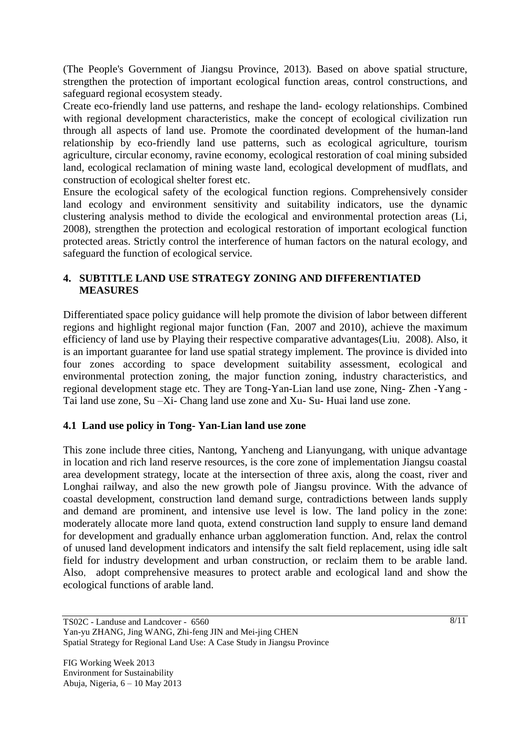(The People's Government of Jiangsu Province, 2013). Based on above spatial structure, strengthen the protection of important ecological function areas, control constructions, and safeguard regional ecosystem steady.

Create eco-friendly land use patterns, and reshape the land- ecology relationships. Combined with regional development characteristics, make the concept of ecological civilization run through all aspects of land use. Promote the coordinated development of the human-land relationship by eco-friendly land use patterns, such as ecological agriculture, tourism agriculture, circular economy, ravine economy, ecological restoration of coal mining subsided land, ecological reclamation of mining waste land, ecological development of mudflats, and construction of ecological shelter forest etc.

Ensure the ecological safety of the ecological function regions. Comprehensively consider land ecology and environment sensitivity and suitability indicators, use the dynamic clustering analysis method to divide the ecological and environmental protection areas (Li, 2008), strengthen the protection and ecological restoration of important ecological function protected areas. Strictly control the interference of human factors on the natural ecology, and safeguard the function of ecological service.

# **4. SUBTITLE LAND USE STRATEGY ZONING AND DIFFERENTIATED MEASURES**

Differentiated space policy guidance will help promote the division of labor between different regions and highlight regional major function (Fan,2007 and 2010), achieve the maximum efficiency of land use by Playing their respective comparative advantages(Liu,2008). Also, it is an important guarantee for land use spatial strategy implement. The province is divided into four zones according to space development suitability assessment, ecological and environmental protection zoning, the major function zoning, industry characteristics, and regional development stage etc. They are Tong-Yan-Lian land use zone, Ning- Zhen -Yang - Tai land use zone, Su –Xi- Chang land use zone and Xu- Su- Huai land use zone.

### **4.1 Land use policy in Tong- Yan-Lian land use zone**

This zone include three cities, Nantong, Yancheng and Lianyungang, with unique advantage in location and rich land reserve resources, is the core zone of implementation Jiangsu coastal area development strategy, locate at the intersection of three axis, along the coast, river and Longhai railway, and also the new growth pole of Jiangsu province. With the advance of coastal development, construction land demand surge, contradictions between lands supply and demand are prominent, and intensive use level is low. The land policy in the zone: moderately allocate more land quota, extend construction land supply to ensure land demand for development and gradually enhance urban agglomeration function. And, relax the control of unused land development indicators and intensify the salt field replacement, using idle salt field for industry development and urban construction, or reclaim them to be arable land. Also, adopt comprehensive measures to protect arable and ecological land and show the ecological functions of arable land.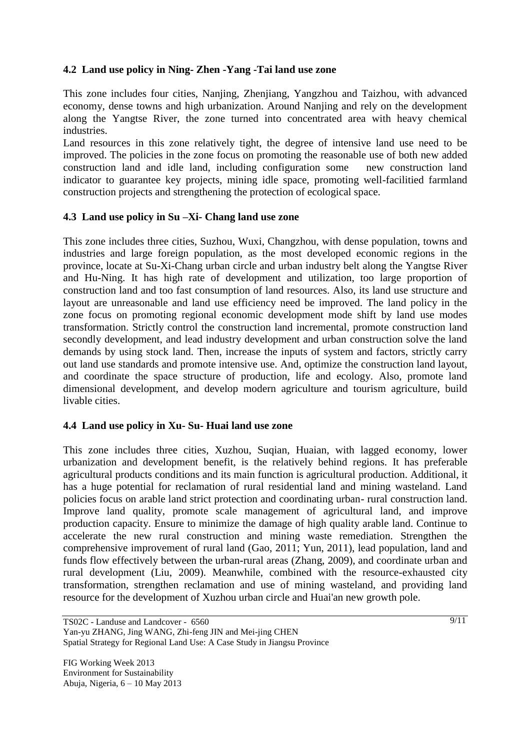## **4.2 Land use policy in Ning- Zhen -Yang -Tai land use zone**

This zone includes four cities, Nanjing, Zhenjiang, Yangzhou and Taizhou, with advanced economy, dense towns and high urbanization. Around Nanjing and rely on the development along the Yangtse River, the zone turned into concentrated area with heavy chemical industries.

Land resources in this zone relatively tight, the degree of intensive land use need to be improved. The policies in the zone focus on promoting the reasonable use of both new added construction land and idle land, including configuration some new construction land indicator to guarantee key projects, mining idle space, promoting well-facilitied farmland construction projects and strengthening the protection of ecological space.

# **4.3 Land use policy in Su –Xi- Chang land use zone**

This zone includes three cities, Suzhou, Wuxi, Changzhou, with dense population, towns and industries and large foreign population, as the most developed economic regions in the province, locate at Su-Xi-Chang urban circle and urban industry belt along the Yangtse River and Hu-Ning. It has high rate of development and utilization, too large proportion of construction land and too fast consumption of land resources. Also, its land use structure and layout are unreasonable and land use efficiency need be improved. The land policy in the zone focus on promoting regional economic development mode shift by land use modes transformation. Strictly control the construction land incremental, promote construction land secondly development, and lead industry development and urban construction solve the land demands by using stock land. Then, increase the inputs of system and factors, strictly carry out land use standards and promote intensive use. And, optimize the construction land layout, and coordinate the space structure of production, life and ecology. Also, promote land dimensional development, and develop modern agriculture and tourism agriculture, build livable cities.

### **4.4 Land use policy in Xu- Su- Huai land use zone**

This zone includes three cities, Xuzhou, Suqian, Huaian, with lagged economy, lower urbanization and development benefit, is the relatively behind regions. It has preferable agricultural products conditions and its main function is agricultural production. Additional, it has a huge potential for reclamation of rural residential land and mining wasteland. Land policies focus on arable land strict protection and coordinating urban- rural construction land. Improve land quality, promote scale management of agricultural land, and improve production capacity. Ensure to minimize the damage of high quality arable land. Continue to accelerate the new rural construction and mining waste remediation. Strengthen the comprehensive improvement of rural land (Gao, 2011; Yun, 2011), lead population, land and funds flow effectively between the urban-rural areas (Zhang, 2009), and coordinate urban and rural development (Liu, 2009). Meanwhile, combined with the resource-exhausted city transformation, strengthen reclamation and use of mining wasteland, and providing land resource for the development of Xuzhou urban circle and Huai'an new growth pole.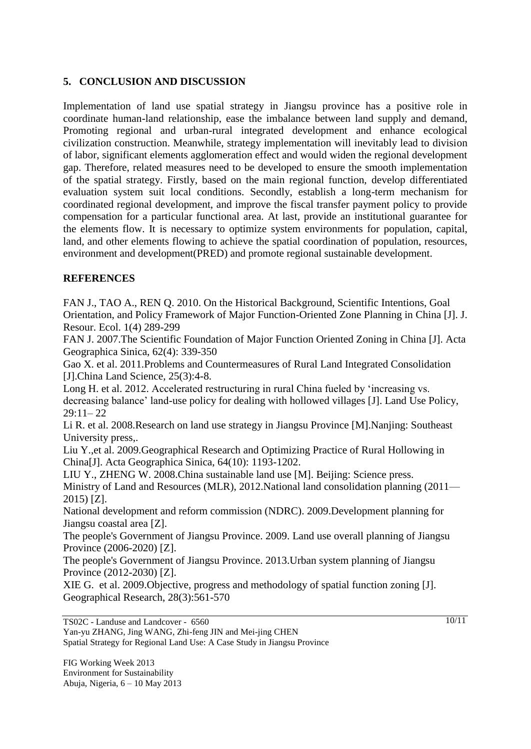## **5. CONCLUSION AND DISCUSSION**

Implementation of land use spatial strategy in Jiangsu province has a positive role in coordinate human-land relationship, ease the imbalance between land supply and demand, Promoting regional and urban-rural integrated development and enhance ecological civilization construction. Meanwhile, strategy implementation will inevitably lead to division of labor, significant elements agglomeration effect and would widen the regional development gap. Therefore, related measures need to be developed to ensure the smooth implementation of the spatial strategy. Firstly, based on the main regional function, develop differentiated evaluation system suit local conditions. Secondly, establish a long-term mechanism for coordinated regional development, and improve the fiscal transfer payment policy to provide compensation for a particular functional area. At last, provide an institutional guarantee for the elements flow. It is necessary to optimize system environments for population, capital, land, and other elements flowing to achieve the spatial coordination of population, resources, environment and development(PRED) and promote regional sustainable development.

# **REFERENCES**

FAN J., TAO A., REN Q. 2010. On the Historical Background, Scientific Intentions, Goal Orientation, and Policy Framework of Major Function-Oriented Zone Planning in China [J]. J. Resour. Ecol. 1(4) 289-299

FAN J. 2007.The Scientific Foundation of Major Function Oriented Zoning in China [J]. Acta Geographica Sinica, 62(4): 339-350

Gao X. et al. 2011.Problems and Countermeasures of Rural Land Integrated Consolidation [J].China Land Science, 25(3):4-8.

Long H. et al. 2012. Accelerated restructuring in rural China fueled by 'increasing vs. decreasing balance' land-use policy for dealing with hollowed villages [J]. Land Use Policy, 29:11– 22

Li R. et al. 2008.Research on land use strategy in Jiangsu Province [M].Nanjing: Southeast University press,.

Liu Y.,et al. 2009.Geographical Research and Optimizing Practice of Rural Hollowing in China[J]. Acta Geographica Sinica, 64(10): 1193-1202.

LIU Y., ZHENG W. 2008.China sustainable land use [M]. Beijing: Science press. Ministry of Land and Resources (MLR), 2012.National land consolidation planning (2011— 2015) [Z].

National development and reform commission (NDRC). 2009.Development planning for Jiangsu coastal area [Z].

The people's Government of Jiangsu Province. 2009. Land use overall planning of Jiangsu Province (2006-2020) [Z].

The people's Government of Jiangsu Province. 2013.Urban system planning of Jiangsu Province (2012-2030) [Z].

XIE G. et al. 2009.Objective, progress and methodology of spatial function zoning [J]. Geographical Research, 28(3):561-570